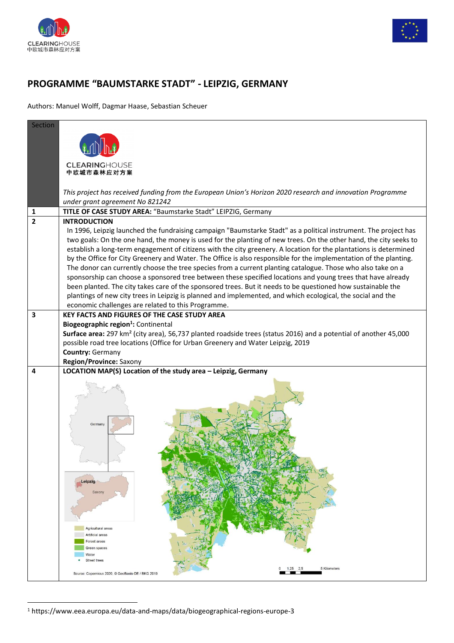



## **PROGRAMME "BAUMSTARKE STADT" - LEIPZIG, GERMANY**

Authors: Manuel Wolff, Dagmar Haase, Sebastian Scheuer

| Section<br><b>CLEARINGHOUSE</b><br>中欧城市森林应对方案<br>This project has received funding from the European Union's Horizon 2020 research and innovation Programme<br>under grant agreement No 821242<br>TITLE OF CASE STUDY AREA: "Baumstarke Stadt" LEIPZIG, Germany<br>1<br>$\overline{2}$<br><b>INTRODUCTION</b><br>In 1996, Leipzig launched the fundraising campaign "Baumstarke Stadt" as a political instrument. The project has<br>two goals: On the one hand, the money is used for the planting of new trees. On the other hand, the city seeks to<br>establish a long-term engagement of citizens with the city greenery. A location for the plantations is determined<br>by the Office for City Greenery and Water. The Office is also responsible for the implementation of the planting.<br>The donor can currently choose the tree species from a current planting catalogue. Those who also take on a<br>sponsorship can choose a sponsored tree between these specified locations and young trees that have already<br>been planted. The city takes care of the sponsored trees. But it needs to be questioned how sustainable the<br>plantings of new city trees in Leipzig is planned and implemented, and which ecological, the social and the<br>economic challenges are related to this Programme.<br>3<br><b>KEY FACTS AND FIGURES OF THE CASE STUDY AREA</b><br>Biogeographic region <sup>1</sup> : Continental<br>Surface area: 297 km <sup>2</sup> (city area), 56,737 planted roadside trees (status 2016) and a potential of another 45,000<br>possible road tree locations (Office for Urban Greenery and Water Leipzig, 2019<br><b>Country: Germany</b><br>Region/Province: Saxony<br>LOCATION MAP(S) Location of the study area - Leipzig, Germany<br>4<br>Germany<br>Leipzig<br>Saxony<br>Agricultural areas<br>Artificial areas<br>Forest areas<br>Green spaces<br>Water<br>Street trees<br>5 Kilometers<br>$1.25$ $2.5$<br>Source: Copernicus 2020, @ GeoBasis-DE / BKG 2019 |  |
|----------------------------------------------------------------------------------------------------------------------------------------------------------------------------------------------------------------------------------------------------------------------------------------------------------------------------------------------------------------------------------------------------------------------------------------------------------------------------------------------------------------------------------------------------------------------------------------------------------------------------------------------------------------------------------------------------------------------------------------------------------------------------------------------------------------------------------------------------------------------------------------------------------------------------------------------------------------------------------------------------------------------------------------------------------------------------------------------------------------------------------------------------------------------------------------------------------------------------------------------------------------------------------------------------------------------------------------------------------------------------------------------------------------------------------------------------------------------------------------------------------------------------------------------------------------------------------------------------------------------------------------------------------------------------------------------------------------------------------------------------------------------------------------------------------------------------------------------------------------------------------------------------------------------------------------------------------------------------------------------------------|--|
|                                                                                                                                                                                                                                                                                                                                                                                                                                                                                                                                                                                                                                                                                                                                                                                                                                                                                                                                                                                                                                                                                                                                                                                                                                                                                                                                                                                                                                                                                                                                                                                                                                                                                                                                                                                                                                                                                                                                                                                                          |  |
|                                                                                                                                                                                                                                                                                                                                                                                                                                                                                                                                                                                                                                                                                                                                                                                                                                                                                                                                                                                                                                                                                                                                                                                                                                                                                                                                                                                                                                                                                                                                                                                                                                                                                                                                                                                                                                                                                                                                                                                                          |  |
|                                                                                                                                                                                                                                                                                                                                                                                                                                                                                                                                                                                                                                                                                                                                                                                                                                                                                                                                                                                                                                                                                                                                                                                                                                                                                                                                                                                                                                                                                                                                                                                                                                                                                                                                                                                                                                                                                                                                                                                                          |  |
|                                                                                                                                                                                                                                                                                                                                                                                                                                                                                                                                                                                                                                                                                                                                                                                                                                                                                                                                                                                                                                                                                                                                                                                                                                                                                                                                                                                                                                                                                                                                                                                                                                                                                                                                                                                                                                                                                                                                                                                                          |  |
|                                                                                                                                                                                                                                                                                                                                                                                                                                                                                                                                                                                                                                                                                                                                                                                                                                                                                                                                                                                                                                                                                                                                                                                                                                                                                                                                                                                                                                                                                                                                                                                                                                                                                                                                                                                                                                                                                                                                                                                                          |  |
|                                                                                                                                                                                                                                                                                                                                                                                                                                                                                                                                                                                                                                                                                                                                                                                                                                                                                                                                                                                                                                                                                                                                                                                                                                                                                                                                                                                                                                                                                                                                                                                                                                                                                                                                                                                                                                                                                                                                                                                                          |  |
|                                                                                                                                                                                                                                                                                                                                                                                                                                                                                                                                                                                                                                                                                                                                                                                                                                                                                                                                                                                                                                                                                                                                                                                                                                                                                                                                                                                                                                                                                                                                                                                                                                                                                                                                                                                                                                                                                                                                                                                                          |  |
|                                                                                                                                                                                                                                                                                                                                                                                                                                                                                                                                                                                                                                                                                                                                                                                                                                                                                                                                                                                                                                                                                                                                                                                                                                                                                                                                                                                                                                                                                                                                                                                                                                                                                                                                                                                                                                                                                                                                                                                                          |  |
|                                                                                                                                                                                                                                                                                                                                                                                                                                                                                                                                                                                                                                                                                                                                                                                                                                                                                                                                                                                                                                                                                                                                                                                                                                                                                                                                                                                                                                                                                                                                                                                                                                                                                                                                                                                                                                                                                                                                                                                                          |  |
|                                                                                                                                                                                                                                                                                                                                                                                                                                                                                                                                                                                                                                                                                                                                                                                                                                                                                                                                                                                                                                                                                                                                                                                                                                                                                                                                                                                                                                                                                                                                                                                                                                                                                                                                                                                                                                                                                                                                                                                                          |  |
|                                                                                                                                                                                                                                                                                                                                                                                                                                                                                                                                                                                                                                                                                                                                                                                                                                                                                                                                                                                                                                                                                                                                                                                                                                                                                                                                                                                                                                                                                                                                                                                                                                                                                                                                                                                                                                                                                                                                                                                                          |  |
|                                                                                                                                                                                                                                                                                                                                                                                                                                                                                                                                                                                                                                                                                                                                                                                                                                                                                                                                                                                                                                                                                                                                                                                                                                                                                                                                                                                                                                                                                                                                                                                                                                                                                                                                                                                                                                                                                                                                                                                                          |  |
|                                                                                                                                                                                                                                                                                                                                                                                                                                                                                                                                                                                                                                                                                                                                                                                                                                                                                                                                                                                                                                                                                                                                                                                                                                                                                                                                                                                                                                                                                                                                                                                                                                                                                                                                                                                                                                                                                                                                                                                                          |  |
|                                                                                                                                                                                                                                                                                                                                                                                                                                                                                                                                                                                                                                                                                                                                                                                                                                                                                                                                                                                                                                                                                                                                                                                                                                                                                                                                                                                                                                                                                                                                                                                                                                                                                                                                                                                                                                                                                                                                                                                                          |  |
|                                                                                                                                                                                                                                                                                                                                                                                                                                                                                                                                                                                                                                                                                                                                                                                                                                                                                                                                                                                                                                                                                                                                                                                                                                                                                                                                                                                                                                                                                                                                                                                                                                                                                                                                                                                                                                                                                                                                                                                                          |  |
|                                                                                                                                                                                                                                                                                                                                                                                                                                                                                                                                                                                                                                                                                                                                                                                                                                                                                                                                                                                                                                                                                                                                                                                                                                                                                                                                                                                                                                                                                                                                                                                                                                                                                                                                                                                                                                                                                                                                                                                                          |  |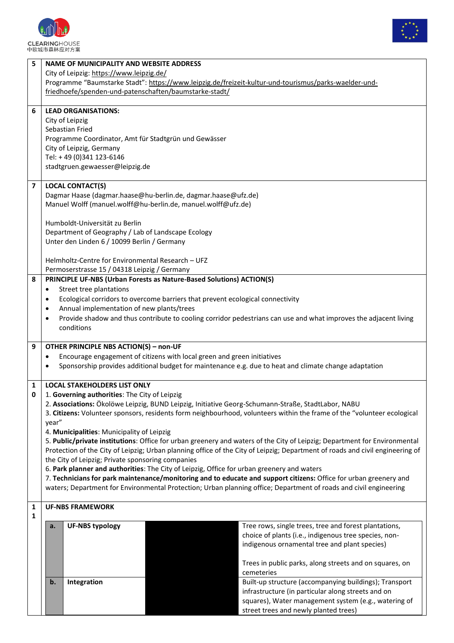



|                | <b>NAME OF MUNICIPALITY AND WEBSITE ADDRESS</b>                                                                                                                                                                               |                                                                                                                  |
|----------------|-------------------------------------------------------------------------------------------------------------------------------------------------------------------------------------------------------------------------------|------------------------------------------------------------------------------------------------------------------|
|                | City of Leipzig: https://www.leipzig.de/<br>Programme "Baumstarke Stadt": https://www.leipzig.de/freizeit-kultur-und-tourismus/parks-waelder-und-                                                                             |                                                                                                                  |
|                | friedhoefe/spenden-und-patenschaften/baumstarke-stadt/                                                                                                                                                                        |                                                                                                                  |
|                |                                                                                                                                                                                                                               |                                                                                                                  |
| 6              | <b>LEAD ORGANISATIONS:</b>                                                                                                                                                                                                    |                                                                                                                  |
|                | City of Leipzig<br>Sebastian Fried                                                                                                                                                                                            |                                                                                                                  |
|                | Programme Coordinator, Amt für Stadtgrün und Gewässer                                                                                                                                                                         |                                                                                                                  |
|                | City of Leipzig, Germany                                                                                                                                                                                                      |                                                                                                                  |
|                | Tel: +49 (0)341 123-6146                                                                                                                                                                                                      |                                                                                                                  |
|                | stadtgruen.gewaesser@leipzig.de                                                                                                                                                                                               |                                                                                                                  |
| $\overline{7}$ | <b>LOCAL CONTACT(S)</b>                                                                                                                                                                                                       |                                                                                                                  |
|                | Dagmar Haase (dagmar.haase@hu-berlin.de, dagmar.haase@ufz.de)                                                                                                                                                                 |                                                                                                                  |
|                | Manuel Wolff (manuel.wolff@hu-berlin.de, manuel.wolff@ufz.de)                                                                                                                                                                 |                                                                                                                  |
|                | Humboldt-Universität zu Berlin                                                                                                                                                                                                |                                                                                                                  |
|                | Department of Geography / Lab of Landscape Ecology                                                                                                                                                                            |                                                                                                                  |
|                | Unter den Linden 6 / 10099 Berlin / Germany                                                                                                                                                                                   |                                                                                                                  |
|                | Helmholtz-Centre for Environmental Research - UFZ                                                                                                                                                                             |                                                                                                                  |
|                | Permoserstrasse 15 / 04318 Leipzig / Germany                                                                                                                                                                                  |                                                                                                                  |
| 8              | PRINCIPLE UF-NBS (Urban Forests as Nature-Based Solutions) ACTION(S)                                                                                                                                                          |                                                                                                                  |
|                | Street tree plantations<br>$\bullet$<br>Ecological corridors to overcome barriers that prevent ecological connectivity                                                                                                        |                                                                                                                  |
|                | Annual implementation of new plants/trees                                                                                                                                                                                     |                                                                                                                  |
|                |                                                                                                                                                                                                                               | Provide shadow and thus contribute to cooling corridor pedestrians can use and what improves the adjacent living |
|                | conditions                                                                                                                                                                                                                    |                                                                                                                  |
|                |                                                                                                                                                                                                                               |                                                                                                                  |
| 9              | OTHER PRINCIPLE NBS ACTION(S) - non-UF                                                                                                                                                                                        |                                                                                                                  |
|                |                                                                                                                                                                                                                               |                                                                                                                  |
|                | Encourage engagement of citizens with local green and green initiatives<br>$\bullet$                                                                                                                                          |                                                                                                                  |
|                | Sponsorship provides additional budget for maintenance e.g. due to heat and climate change adaptation                                                                                                                         |                                                                                                                  |
| 1              | <b>LOCAL STAKEHOLDERS LIST ONLY</b>                                                                                                                                                                                           |                                                                                                                  |
| 0              | 1. Governing authorities: The City of Leipzig                                                                                                                                                                                 |                                                                                                                  |
|                | 2. Associations: Ökolöwe Leipzig, BUND Leipzig, Initiative Georg-Schumann-Straße, StadtLabor, NABU<br>3. Citizens: Volunteer sponsors, residents form neighbourhood, volunteers within the frame of the "volunteer ecological |                                                                                                                  |
|                | year"                                                                                                                                                                                                                         |                                                                                                                  |
|                | 4. Municipalities: Municipality of Leipzig                                                                                                                                                                                    |                                                                                                                  |
|                | 5. Public/private institutions: Office for urban greenery and waters of the City of Leipzig; Department for Environmental                                                                                                     |                                                                                                                  |
|                | Protection of the City of Leipzig; Urban planning office of the City of Leipzig; Department of roads and civil engineering of                                                                                                 |                                                                                                                  |
|                | the City of Leipzig; Private sponsoring companies<br>6. Park planner and authorities: The City of Leipzig, Office for urban greenery and waters                                                                               |                                                                                                                  |
|                | 7. Technicians for park maintenance/monitoring and to educate and support citizens: Office for urban greenery and                                                                                                             |                                                                                                                  |
|                | waters; Department for Environmental Protection; Urban planning office; Department of roads and civil engineering                                                                                                             |                                                                                                                  |
| 1              | <b>UF-NBS FRAMEWORK</b>                                                                                                                                                                                                       |                                                                                                                  |
| 1              |                                                                                                                                                                                                                               |                                                                                                                  |
|                | <b>UF-NBS typology</b><br>a.                                                                                                                                                                                                  | Tree rows, single trees, tree and forest plantations,                                                            |
|                |                                                                                                                                                                                                                               | choice of plants (i.e., indigenous tree species, non-<br>indigenous ornamental tree and plant species)           |
|                |                                                                                                                                                                                                                               |                                                                                                                  |
|                |                                                                                                                                                                                                                               | Trees in public parks, along streets and on squares, on                                                          |
|                |                                                                                                                                                                                                                               | cemeteries                                                                                                       |
|                | b.<br>Integration                                                                                                                                                                                                             | Built-up structure (accompanying buildings); Transport<br>infrastructure (in particular along streets and on     |
|                |                                                                                                                                                                                                                               | squares), Water management system (e.g., watering of                                                             |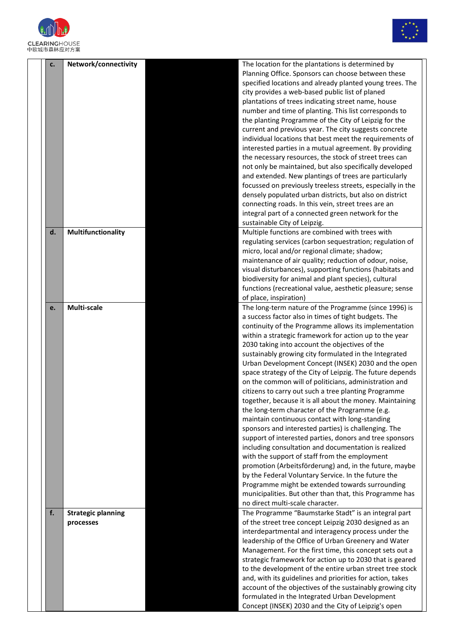



| c.             | Network/connectivity                   | The location for the plantations is determined by<br>Planning Office. Sponsors can choose between these<br>specified locations and already planted young trees. The<br>city provides a web-based public list of planed<br>plantations of trees indicating street name, house<br>number and time of planting. This list corresponds to<br>the planting Programme of the City of Leipzig for the<br>current and previous year. The city suggests concrete<br>individual locations that best meet the requirements of<br>interested parties in a mutual agreement. By providing<br>the necessary resources, the stock of street trees can<br>not only be maintained, but also specifically developed<br>and extended. New plantings of trees are particularly<br>focussed on previously treeless streets, especially in the                                                                                                                                                                                                                                                                                                                                                                                                                        |
|----------------|----------------------------------------|-------------------------------------------------------------------------------------------------------------------------------------------------------------------------------------------------------------------------------------------------------------------------------------------------------------------------------------------------------------------------------------------------------------------------------------------------------------------------------------------------------------------------------------------------------------------------------------------------------------------------------------------------------------------------------------------------------------------------------------------------------------------------------------------------------------------------------------------------------------------------------------------------------------------------------------------------------------------------------------------------------------------------------------------------------------------------------------------------------------------------------------------------------------------------------------------------------------------------------------------------|
|                |                                        | densely populated urban districts, but also on district<br>connecting roads. In this vein, street trees are an<br>integral part of a connected green network for the                                                                                                                                                                                                                                                                                                                                                                                                                                                                                                                                                                                                                                                                                                                                                                                                                                                                                                                                                                                                                                                                            |
| $\mathsf{d}$ . | Multifunctionality                     | sustainable City of Leipzig.<br>Multiple functions are combined with trees with<br>regulating services (carbon sequestration; regulation of<br>micro, local and/or regional climate; shadow;<br>maintenance of air quality; reduction of odour, noise,<br>visual disturbances), supporting functions (habitats and<br>biodiversity for animal and plant species), cultural<br>functions (recreational value, aesthetic pleasure; sense<br>of place, inspiration)                                                                                                                                                                                                                                                                                                                                                                                                                                                                                                                                                                                                                                                                                                                                                                                |
| e.             | Multi-scale                            | The long-term nature of the Programme (since 1996) is<br>a success factor also in times of tight budgets. The<br>continuity of the Programme allows its implementation<br>within a strategic framework for action up to the year<br>2030 taking into account the objectives of the<br>sustainably growing city formulated in the Integrated<br>Urban Development Concept (INSEK) 2030 and the open<br>space strategy of the City of Leipzig. The future depends<br>on the common will of politicians, administration and<br>citizens to carry out such a tree planting Programme<br>together, because it is all about the money. Maintaining<br>the long-term character of the Programme (e.g.<br>maintain continuous contact with long-standing<br>sponsors and interested parties) is challenging. The<br>support of interested parties, donors and tree sponsors<br>including consultation and documentation is realized<br>with the support of staff from the employment<br>promotion (Arbeitsförderung) and, in the future, maybe<br>by the Federal Voluntary Service. In the future the<br>Programme might be extended towards surrounding<br>municipalities. But other than that, this Programme has<br>no direct multi-scale character. |
| f.             | <b>Strategic planning</b><br>processes | The Programme "Baumstarke Stadt" is an integral part<br>of the street tree concept Leipzig 2030 designed as an<br>interdepartmental and interagency process under the<br>leadership of the Office of Urban Greenery and Water<br>Management. For the first time, this concept sets out a<br>strategic framework for action up to 2030 that is geared<br>to the development of the entire urban street tree stock<br>and, with its guidelines and priorities for action, takes<br>account of the objectives of the sustainably growing city<br>formulated in the Integrated Urban Development<br>Concept (INSEK) 2030 and the City of Leipzig's open                                                                                                                                                                                                                                                                                                                                                                                                                                                                                                                                                                                             |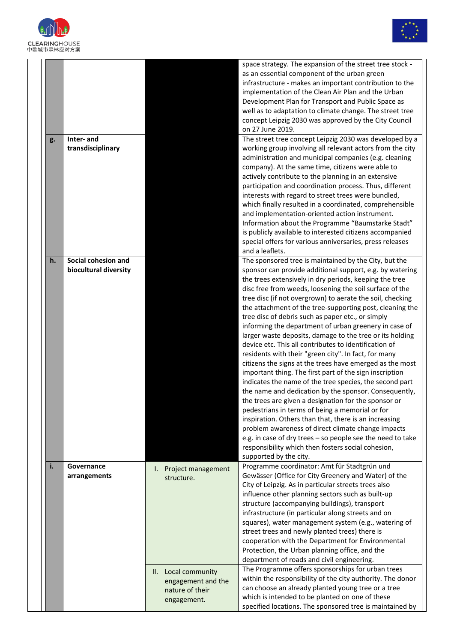



|    |                                              |                                                                                                                       | space strategy. The expansion of the street tree stock -<br>as an essential component of the urban green<br>infrastructure - makes an important contribution to the<br>implementation of the Clean Air Plan and the Urban<br>Development Plan for Transport and Public Space as<br>well as to adaptation to climate change. The street tree<br>concept Leipzig 2030 was approved by the City Council<br>on 27 June 2019.                                                                                                                                                                                                                                                                                                                                                                                                                                                                                                                                                                                                                                                                                                                                                                                                                                                      |
|----|----------------------------------------------|-----------------------------------------------------------------------------------------------------------------------|-------------------------------------------------------------------------------------------------------------------------------------------------------------------------------------------------------------------------------------------------------------------------------------------------------------------------------------------------------------------------------------------------------------------------------------------------------------------------------------------------------------------------------------------------------------------------------------------------------------------------------------------------------------------------------------------------------------------------------------------------------------------------------------------------------------------------------------------------------------------------------------------------------------------------------------------------------------------------------------------------------------------------------------------------------------------------------------------------------------------------------------------------------------------------------------------------------------------------------------------------------------------------------|
| g. | Inter-and<br>transdisciplinary               |                                                                                                                       | The street tree concept Leipzig 2030 was developed by a<br>working group involving all relevant actors from the city<br>administration and municipal companies (e.g. cleaning<br>company). At the same time, citizens were able to<br>actively contribute to the planning in an extensive<br>participation and coordination process. Thus, different<br>interests with regard to street trees were bundled,<br>which finally resulted in a coordinated, comprehensible<br>and implementation-oriented action instrument.<br>Information about the Programme "Baumstarke Stadt"<br>is publicly available to interested citizens accompanied<br>special offers for various anniversaries, press releases<br>and a leaflets.                                                                                                                                                                                                                                                                                                                                                                                                                                                                                                                                                     |
| h. | Social cohesion and<br>biocultural diversity |                                                                                                                       | The sponsored tree is maintained by the City, but the<br>sponsor can provide additional support, e.g. by watering<br>the trees extensively in dry periods, keeping the tree<br>disc free from weeds, loosening the soil surface of the<br>tree disc (if not overgrown) to aerate the soil, checking<br>the attachment of the tree-supporting post, cleaning the<br>tree disc of debris such as paper etc., or simply<br>informing the department of urban greenery in case of<br>larger waste deposits, damage to the tree or its holding<br>device etc. This all contributes to identification of<br>residents with their "green city". In fact, for many<br>citizens the signs at the trees have emerged as the most<br>important thing. The first part of the sign inscription<br>indicates the name of the tree species, the second part<br>the name and dedication by the sponsor. Consequently,<br>the trees are given a designation for the sponsor or<br>pedestrians in terms of being a memorial or for<br>inspiration. Others than that, there is an increasing<br>problem awareness of direct climate change impacts<br>e.g. in case of dry trees - so people see the need to take<br>responsibility which then fosters social cohesion,<br>supported by the city. |
| i. | Governance<br>arrangements                   | Project management<br>I.<br>structure.<br>II. Local community<br>engagement and the<br>nature of their<br>engagement. | Programme coordinator: Amt für Stadtgrün und<br>Gewässer (Office for City Greenery and Water) of the<br>City of Leipzig. As in particular streets trees also<br>influence other planning sectors such as built-up<br>structure (accompanying buildings), transport<br>infrastructure (in particular along streets and on<br>squares), water management system (e.g., watering of<br>street trees and newly planted trees) there is<br>cooperation with the Department for Environmental<br>Protection, the Urban planning office, and the<br>department of roads and civil engineering.<br>The Programme offers sponsorships for urban trees<br>within the responsibility of the city authority. The donor<br>can choose an already planted young tree or a tree<br>which is intended to be planted on one of these<br>specified locations. The sponsored tree is maintained by                                                                                                                                                                                                                                                                                                                                                                                               |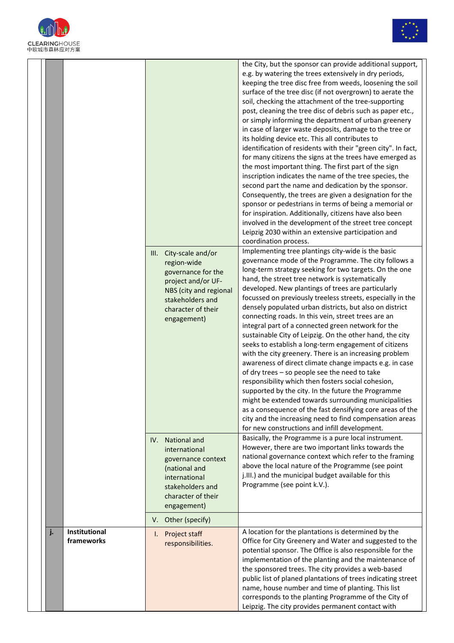



| .姒巾袾怀应刈力杀 |                             |                                                                                                                                                                                                                                                                                             |                                                                                                                                                                                                                                                                                                                                                                                                                                                                                                                                                                                                                                                                                                                                                                                                                                                                                                                                                                                                                                                                                                                                                                                                                                                                                                                                                                                                                                                                                                                                                                                                                                                                                                                                                                                                                                                                                                                                                                                                                                                                                                                                                                                                                                                                                                                                                                                                                                                                                                                                                                                                                                                             |
|-----------|-----------------------------|---------------------------------------------------------------------------------------------------------------------------------------------------------------------------------------------------------------------------------------------------------------------------------------------|-------------------------------------------------------------------------------------------------------------------------------------------------------------------------------------------------------------------------------------------------------------------------------------------------------------------------------------------------------------------------------------------------------------------------------------------------------------------------------------------------------------------------------------------------------------------------------------------------------------------------------------------------------------------------------------------------------------------------------------------------------------------------------------------------------------------------------------------------------------------------------------------------------------------------------------------------------------------------------------------------------------------------------------------------------------------------------------------------------------------------------------------------------------------------------------------------------------------------------------------------------------------------------------------------------------------------------------------------------------------------------------------------------------------------------------------------------------------------------------------------------------------------------------------------------------------------------------------------------------------------------------------------------------------------------------------------------------------------------------------------------------------------------------------------------------------------------------------------------------------------------------------------------------------------------------------------------------------------------------------------------------------------------------------------------------------------------------------------------------------------------------------------------------------------------------------------------------------------------------------------------------------------------------------------------------------------------------------------------------------------------------------------------------------------------------------------------------------------------------------------------------------------------------------------------------------------------------------------------------------------------------------------------------|
|           |                             | City-scale and/or<br>III.<br>region-wide<br>governance for the<br>project and/or UF-<br>NBS (city and regional<br>stakeholders and<br>character of their<br>engagement)<br>National and<br>IV.<br>international<br>governance context<br>(national and<br>international<br>stakeholders and | the City, but the sponsor can provide additional support,<br>e.g. by watering the trees extensively in dry periods,<br>keeping the tree disc free from weeds, loosening the soil<br>surface of the tree disc (if not overgrown) to aerate the<br>soil, checking the attachment of the tree-supporting<br>post, cleaning the tree disc of debris such as paper etc.,<br>or simply informing the department of urban greenery<br>in case of larger waste deposits, damage to the tree or<br>its holding device etc. This all contributes to<br>identification of residents with their "green city". In fact,<br>for many citizens the signs at the trees have emerged as<br>the most important thing. The first part of the sign<br>inscription indicates the name of the tree species, the<br>second part the name and dedication by the sponsor.<br>Consequently, the trees are given a designation for the<br>sponsor or pedestrians in terms of being a memorial or<br>for inspiration. Additionally, citizens have also been<br>involved in the development of the street tree concept<br>Leipzig 2030 within an extensive participation and<br>coordination process.<br>Implementing tree plantings city-wide is the basic<br>governance mode of the Programme. The city follows a<br>long-term strategy seeking for two targets. On the one<br>hand, the street tree network is systematically<br>developed. New plantings of trees are particularly<br>focussed on previously treeless streets, especially in the<br>densely populated urban districts, but also on district<br>connecting roads. In this vein, street trees are an<br>integral part of a connected green network for the<br>sustainable City of Leipzig. On the other hand, the city<br>seeks to establish a long-term engagement of citizens<br>with the city greenery. There is an increasing problem<br>awareness of direct climate change impacts e.g. in case<br>of dry trees - so people see the need to take<br>responsibility which then fosters social cohesion,<br>supported by the city. In the future the Programme<br>might be extended towards surrounding municipalities<br>as a consequence of the fast densifying core areas of the<br>city and the increasing need to find compensation areas<br>for new constructions and infill development.<br>Basically, the Programme is a pure local instrument.<br>However, there are two important links towards the<br>national governance context which refer to the framing<br>above the local nature of the Programme (see point<br>j.III.) and the municipal budget available for this<br>Programme (see point k.V.). |
|           |                             | character of their<br>engagement)                                                                                                                                                                                                                                                           |                                                                                                                                                                                                                                                                                                                                                                                                                                                                                                                                                                                                                                                                                                                                                                                                                                                                                                                                                                                                                                                                                                                                                                                                                                                                                                                                                                                                                                                                                                                                                                                                                                                                                                                                                                                                                                                                                                                                                                                                                                                                                                                                                                                                                                                                                                                                                                                                                                                                                                                                                                                                                                                             |
|           |                             | Other (specify)<br>V.                                                                                                                                                                                                                                                                       |                                                                                                                                                                                                                                                                                                                                                                                                                                                                                                                                                                                                                                                                                                                                                                                                                                                                                                                                                                                                                                                                                                                                                                                                                                                                                                                                                                                                                                                                                                                                                                                                                                                                                                                                                                                                                                                                                                                                                                                                                                                                                                                                                                                                                                                                                                                                                                                                                                                                                                                                                                                                                                                             |
| j.        | Institutional<br>frameworks | Project staff<br>I.<br>responsibilities.                                                                                                                                                                                                                                                    | A location for the plantations is determined by the<br>Office for City Greenery and Water and suggested to the<br>potential sponsor. The Office is also responsible for the<br>implementation of the planting and the maintenance of<br>the sponsored trees. The city provides a web-based<br>public list of planed plantations of trees indicating street<br>name, house number and time of planting. This list<br>corresponds to the planting Programme of the City of<br>Leipzig. The city provides permanent contact with                                                                                                                                                                                                                                                                                                                                                                                                                                                                                                                                                                                                                                                                                                                                                                                                                                                                                                                                                                                                                                                                                                                                                                                                                                                                                                                                                                                                                                                                                                                                                                                                                                                                                                                                                                                                                                                                                                                                                                                                                                                                                                                               |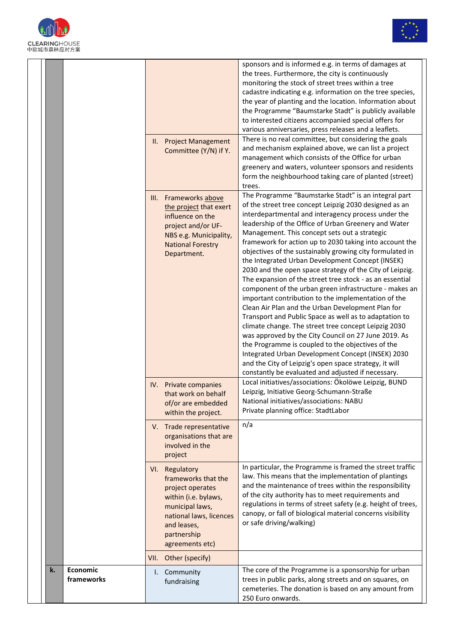



| 袾 怀 应 刈 力 杀 |                        |      |                                                                                                                                                                                                              |                                                                                                                                                                                                                                                                                                                                                                                                                                                                                                                                                                                                                                                                                                                                                                                                                                                                                                                                                                                                                                                                                                                                                                                                                                                                                                                                                                                                                                                                                                                                                                                                                                                                                                                                                                                                                                                                                                                                       |
|-------------|------------------------|------|--------------------------------------------------------------------------------------------------------------------------------------------------------------------------------------------------------------|---------------------------------------------------------------------------------------------------------------------------------------------------------------------------------------------------------------------------------------------------------------------------------------------------------------------------------------------------------------------------------------------------------------------------------------------------------------------------------------------------------------------------------------------------------------------------------------------------------------------------------------------------------------------------------------------------------------------------------------------------------------------------------------------------------------------------------------------------------------------------------------------------------------------------------------------------------------------------------------------------------------------------------------------------------------------------------------------------------------------------------------------------------------------------------------------------------------------------------------------------------------------------------------------------------------------------------------------------------------------------------------------------------------------------------------------------------------------------------------------------------------------------------------------------------------------------------------------------------------------------------------------------------------------------------------------------------------------------------------------------------------------------------------------------------------------------------------------------------------------------------------------------------------------------------------|
|             |                        | III. | II. Project Management<br>Committee (Y/N) if Y.<br>Frameworks above<br>the project that exert<br>influence on the<br>project and/or UF-<br>NBS e.g. Municipality,<br><b>National Forestry</b><br>Department. | sponsors and is informed e.g. in terms of damages at<br>the trees. Furthermore, the city is continuously<br>monitoring the stock of street trees within a tree<br>cadastre indicating e.g. information on the tree species,<br>the year of planting and the location. Information about<br>the Programme "Baumstarke Stadt" is publicly available<br>to interested citizens accompanied special offers for<br>various anniversaries, press releases and a leaflets.<br>There is no real committee, but considering the goals<br>and mechanism explained above, we can list a project<br>management which consists of the Office for urban<br>greenery and waters, volunteer sponsors and residents<br>form the neighbourhood taking care of planted (street)<br>trees.<br>The Programme "Baumstarke Stadt" is an integral part<br>of the street tree concept Leipzig 2030 designed as an<br>interdepartmental and interagency process under the<br>leadership of the Office of Urban Greenery and Water<br>Management. This concept sets out a strategic<br>framework for action up to 2030 taking into account the<br>objectives of the sustainably growing city formulated in<br>the Integrated Urban Development Concept (INSEK)<br>2030 and the open space strategy of the City of Leipzig.<br>The expansion of the street tree stock - as an essential<br>component of the urban green infrastructure - makes an<br>important contribution to the implementation of the<br>Clean Air Plan and the Urban Development Plan for<br>Transport and Public Space as well as to adaptation to<br>climate change. The street tree concept Leipzig 2030<br>was approved by the City Council on 27 June 2019. As<br>the Programme is coupled to the objectives of the<br>Integrated Urban Development Concept (INSEK) 2030<br>and the City of Leipzig's open space strategy, it will<br>constantly be evaluated and adjusted if necessary. |
|             |                        |      | IV. Private companies<br>that work on behalf<br>of/or are embedded<br>within the project.                                                                                                                    | Local initiatives/associations: Ökolöwe Leipzig, BUND<br>Leipzig, Initiative Georg-Schumann-Straße<br>National initiatives/associations: NABU<br>Private planning office: StadtLabor                                                                                                                                                                                                                                                                                                                                                                                                                                                                                                                                                                                                                                                                                                                                                                                                                                                                                                                                                                                                                                                                                                                                                                                                                                                                                                                                                                                                                                                                                                                                                                                                                                                                                                                                                  |
|             |                        |      | V. Trade representative<br>organisations that are<br>involved in the<br>project                                                                                                                              | n/a                                                                                                                                                                                                                                                                                                                                                                                                                                                                                                                                                                                                                                                                                                                                                                                                                                                                                                                                                                                                                                                                                                                                                                                                                                                                                                                                                                                                                                                                                                                                                                                                                                                                                                                                                                                                                                                                                                                                   |
|             |                        |      | VI. Regulatory<br>frameworks that the<br>project operates<br>within (i.e. bylaws,<br>municipal laws,<br>national laws, licences<br>and leases,<br>partnership<br>agreements etc)                             | In particular, the Programme is framed the street traffic<br>law. This means that the implementation of plantings<br>and the maintenance of trees within the responsibility<br>of the city authority has to meet requirements and<br>regulations in terms of street safety (e.g. height of trees,<br>canopy, or fall of biological material concerns visibility<br>or safe driving/walking)                                                                                                                                                                                                                                                                                                                                                                                                                                                                                                                                                                                                                                                                                                                                                                                                                                                                                                                                                                                                                                                                                                                                                                                                                                                                                                                                                                                                                                                                                                                                           |
|             |                        |      | VII. Other (specify)                                                                                                                                                                                         |                                                                                                                                                                                                                                                                                                                                                                                                                                                                                                                                                                                                                                                                                                                                                                                                                                                                                                                                                                                                                                                                                                                                                                                                                                                                                                                                                                                                                                                                                                                                                                                                                                                                                                                                                                                                                                                                                                                                       |
| k.          | Economic<br>frameworks |      | I. Community<br>fundraising                                                                                                                                                                                  | The core of the Programme is a sponsorship for urban<br>trees in public parks, along streets and on squares, on<br>cemeteries. The donation is based on any amount from<br>250 Euro onwards.                                                                                                                                                                                                                                                                                                                                                                                                                                                                                                                                                                                                                                                                                                                                                                                                                                                                                                                                                                                                                                                                                                                                                                                                                                                                                                                                                                                                                                                                                                                                                                                                                                                                                                                                          |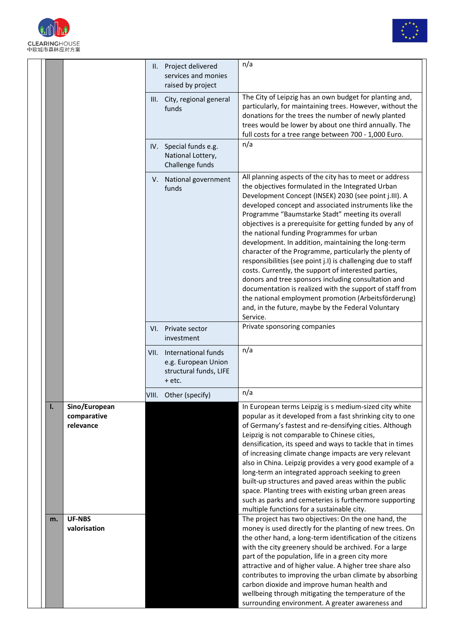



|    |                               | II. Project delivered<br>services and monies<br>raised by project                   | n/a                                                                                                                                                                                                                                                                                                                                                                                                                                                                                                                                                                                                                                                                                                                                                                                                                                                                                |
|----|-------------------------------|-------------------------------------------------------------------------------------|------------------------------------------------------------------------------------------------------------------------------------------------------------------------------------------------------------------------------------------------------------------------------------------------------------------------------------------------------------------------------------------------------------------------------------------------------------------------------------------------------------------------------------------------------------------------------------------------------------------------------------------------------------------------------------------------------------------------------------------------------------------------------------------------------------------------------------------------------------------------------------|
|    |                               | III. City, regional general<br>funds                                                | The City of Leipzig has an own budget for planting and,<br>particularly, for maintaining trees. However, without the<br>donations for the trees the number of newly planted<br>trees would be lower by about one third annually. The<br>full costs for a tree range between 700 - 1,000 Euro.                                                                                                                                                                                                                                                                                                                                                                                                                                                                                                                                                                                      |
|    |                               | IV. Special funds e.g.<br>National Lottery,<br>Challenge funds                      | n/a                                                                                                                                                                                                                                                                                                                                                                                                                                                                                                                                                                                                                                                                                                                                                                                                                                                                                |
|    |                               | V. National government<br>funds                                                     | All planning aspects of the city has to meet or address<br>the objectives formulated in the Integrated Urban<br>Development Concept (INSEK) 2030 (see point j.III). A<br>developed concept and associated instruments like the<br>Programme "Baumstarke Stadt" meeting its overall<br>objectives is a prerequisite for getting funded by any of<br>the national funding Programmes for urban<br>development. In addition, maintaining the long-term<br>character of the Programme, particularly the plenty of<br>responsibilities (see point j.I) is challenging due to staff<br>costs. Currently, the support of interested parties,<br>donors and tree sponsors including consultation and<br>documentation is realized with the support of staff from<br>the national employment promotion (Arbeitsförderung)<br>and, in the future, maybe by the Federal Voluntary<br>Service. |
|    |                               | VI. Private sector<br>investment                                                    | Private sponsoring companies                                                                                                                                                                                                                                                                                                                                                                                                                                                                                                                                                                                                                                                                                                                                                                                                                                                       |
|    |                               | VII. International funds<br>e.g. European Union<br>structural funds, LIFE<br>+ etc. | n/a                                                                                                                                                                                                                                                                                                                                                                                                                                                                                                                                                                                                                                                                                                                                                                                                                                                                                |
|    |                               | VIII. Other (specify)                                                               | n/a                                                                                                                                                                                                                                                                                                                                                                                                                                                                                                                                                                                                                                                                                                                                                                                                                                                                                |
| I. | Sino/European                 |                                                                                     | In European terms Leipzig is s medium-sized city white                                                                                                                                                                                                                                                                                                                                                                                                                                                                                                                                                                                                                                                                                                                                                                                                                             |
|    | comparative                   |                                                                                     | popular as it developed from a fast shrinking city to one                                                                                                                                                                                                                                                                                                                                                                                                                                                                                                                                                                                                                                                                                                                                                                                                                          |
|    | relevance                     |                                                                                     | of Germany's fastest and re-densifying cities. Although<br>Leipzig is not comparable to Chinese cities,                                                                                                                                                                                                                                                                                                                                                                                                                                                                                                                                                                                                                                                                                                                                                                            |
|    |                               |                                                                                     | densification, its speed and ways to tackle that in times                                                                                                                                                                                                                                                                                                                                                                                                                                                                                                                                                                                                                                                                                                                                                                                                                          |
|    |                               |                                                                                     | of increasing climate change impacts are very relevant                                                                                                                                                                                                                                                                                                                                                                                                                                                                                                                                                                                                                                                                                                                                                                                                                             |
|    |                               |                                                                                     | also in China. Leipzig provides a very good example of a                                                                                                                                                                                                                                                                                                                                                                                                                                                                                                                                                                                                                                                                                                                                                                                                                           |
|    |                               |                                                                                     | long-term an integrated approach seeking to green<br>built-up structures and paved areas within the public                                                                                                                                                                                                                                                                                                                                                                                                                                                                                                                                                                                                                                                                                                                                                                         |
|    |                               |                                                                                     | space. Planting trees with existing urban green areas                                                                                                                                                                                                                                                                                                                                                                                                                                                                                                                                                                                                                                                                                                                                                                                                                              |
|    |                               |                                                                                     | such as parks and cemeteries is furthermore supporting                                                                                                                                                                                                                                                                                                                                                                                                                                                                                                                                                                                                                                                                                                                                                                                                                             |
|    |                               |                                                                                     | multiple functions for a sustainable city.                                                                                                                                                                                                                                                                                                                                                                                                                                                                                                                                                                                                                                                                                                                                                                                                                                         |
| m. | <b>UF-NBS</b><br>valorisation |                                                                                     | The project has two objectives: On the one hand, the<br>money is used directly for the planting of new trees. On                                                                                                                                                                                                                                                                                                                                                                                                                                                                                                                                                                                                                                                                                                                                                                   |
|    |                               |                                                                                     | the other hand, a long-term identification of the citizens                                                                                                                                                                                                                                                                                                                                                                                                                                                                                                                                                                                                                                                                                                                                                                                                                         |
|    |                               |                                                                                     | with the city greenery should be archived. For a large                                                                                                                                                                                                                                                                                                                                                                                                                                                                                                                                                                                                                                                                                                                                                                                                                             |
|    |                               |                                                                                     | part of the population, life in a green city more                                                                                                                                                                                                                                                                                                                                                                                                                                                                                                                                                                                                                                                                                                                                                                                                                                  |
|    |                               |                                                                                     | attractive and of higher value. A higher tree share also                                                                                                                                                                                                                                                                                                                                                                                                                                                                                                                                                                                                                                                                                                                                                                                                                           |
|    |                               |                                                                                     | contributes to improving the urban climate by absorbing<br>carbon dioxide and improve human health and                                                                                                                                                                                                                                                                                                                                                                                                                                                                                                                                                                                                                                                                                                                                                                             |
|    |                               |                                                                                     | wellbeing through mitigating the temperature of the                                                                                                                                                                                                                                                                                                                                                                                                                                                                                                                                                                                                                                                                                                                                                                                                                                |
|    |                               |                                                                                     | surrounding environment. A greater awareness and                                                                                                                                                                                                                                                                                                                                                                                                                                                                                                                                                                                                                                                                                                                                                                                                                                   |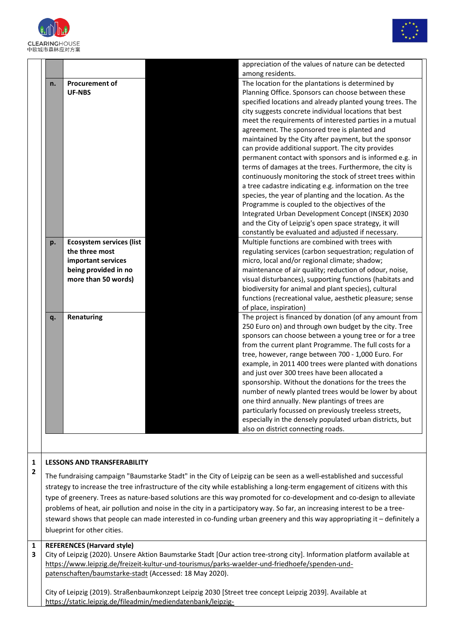



|                      |                                 | appreciation of the values of nature can be detected<br>among residents. |
|----------------------|---------------------------------|--------------------------------------------------------------------------|
|                      | <b>Procurement of</b>           | The location for the plantations is determined by                        |
|                      | <b>UF-NBS</b>                   | Planning Office. Sponsors can choose between these                       |
|                      |                                 | specified locations and already planted young trees. The                 |
|                      |                                 | city suggests concrete individual locations that best                    |
|                      |                                 | meet the requirements of interested parties in a mutual                  |
|                      |                                 | agreement. The sponsored tree is planted and                             |
|                      |                                 | maintained by the City after payment, but the sponsor                    |
|                      |                                 | can provide additional support. The city provides                        |
|                      |                                 | permanent contact with sponsors and is informed e.g. in                  |
|                      |                                 | terms of damages at the trees. Furthermore, the city is                  |
|                      |                                 | continuously monitoring the stock of street trees within                 |
|                      |                                 | a tree cadastre indicating e.g. information on the tree                  |
|                      |                                 | species, the year of planting and the location. As the                   |
|                      |                                 | Programme is coupled to the objectives of the                            |
|                      |                                 | Integrated Urban Development Concept (INSEK) 2030                        |
|                      |                                 | and the City of Leipzig's open space strategy, it will                   |
|                      |                                 | constantly be evaluated and adjusted if necessary.                       |
|                      | <b>Ecosystem services (list</b> | Multiple functions are combined with trees with                          |
|                      |                                 |                                                                          |
| the three most       |                                 | regulating services (carbon sequestration; regulation of                 |
| important services   |                                 | micro, local and/or regional climate; shadow;                            |
| being provided in no |                                 | maintenance of air quality; reduction of odour, noise,                   |
| more than 50 words)  |                                 | visual disturbances), supporting functions (habitats and                 |
|                      |                                 | biodiversity for animal and plant species), cultural                     |
|                      |                                 | functions (recreational value, aesthetic pleasure; sense                 |
|                      |                                 | of place, inspiration)                                                   |
|                      | Renaturing                      | The project is financed by donation (of any amount from                  |
|                      |                                 | 250 Euro on) and through own budget by the city. Tree                    |
|                      |                                 | sponsors can choose between a young tree or for a tree                   |
|                      |                                 | from the current plant Programme. The full costs for a                   |
|                      |                                 | tree, however, range between 700 - 1,000 Euro. For                       |
|                      |                                 | example, in 2011 400 trees were planted with donations                   |
|                      |                                 | and just over 300 trees have been allocated a                            |
|                      |                                 | sponsorship. Without the donations for the trees the                     |
|                      |                                 | number of newly planted trees would be lower by about                    |
|                      |                                 | one third annually. New plantings of trees are                           |
|                      |                                 | particularly focussed on previously treeless streets,                    |
|                      |                                 | especially in the densely populated urban districts, but                 |
|                      |                                 | also on district connecting roads.                                       |

## **1 2 LESSONS AND TRANSFERABILITY**

The fundraising campaign "Baumstarke Stadt" in the City of Leipzig can be seen as a well-established and successful strategy to increase the tree infrastructure of the city while establishing a long-term engagement of citizens with this type of greenery. Trees as nature-based solutions are this way promoted for co-development and co-design to alleviate problems of heat, air pollution and noise in the city in a participatory way. So far, an increasing interest to be a treesteward shows that people can made interested in co-funding urban greenery and this way appropriating it – definitely a blueprint for other cities.

## **1 REFERENCES (Harvard style)**

**3** City of Leipzig (2020). Unsere Aktion Baumstarke Stadt [Our action tree-strong city]. Information platform available at [https://www.leipzig.de/freizeit-kultur-und-tourismus/parks-waelder-und-friedhoefe/spenden-und](https://www.leipzig.de/freizeit-kultur-und-tourismus/parks-waelder-und-friedhoefe/spenden-und-patenschaften/baumstarke-stadt)[patenschaften/baumstarke-stadt](https://www.leipzig.de/freizeit-kultur-und-tourismus/parks-waelder-und-friedhoefe/spenden-und-patenschaften/baumstarke-stadt) (Accessed: 18 May 2020).

City of Leipzig (2019). Straßenbaumkonzept Leipzig 2030 [Street tree concept Leipzig 2039]. Available at [https://static.leipzig.de/fileadmin/mediendatenbank/leipzig-](https://static.leipzig.de/fileadmin/mediendatenbank/leipzig-de/Stadt/02.3_Dez3_Umwelt_Ordnung_Sport/67_Amt_fuer_Stadtgruen_und_Gewaesser/Baeume_Baumschutz/Stadtbaeume/Strassenbaumkonzept_Leipzig_2030.pdf)